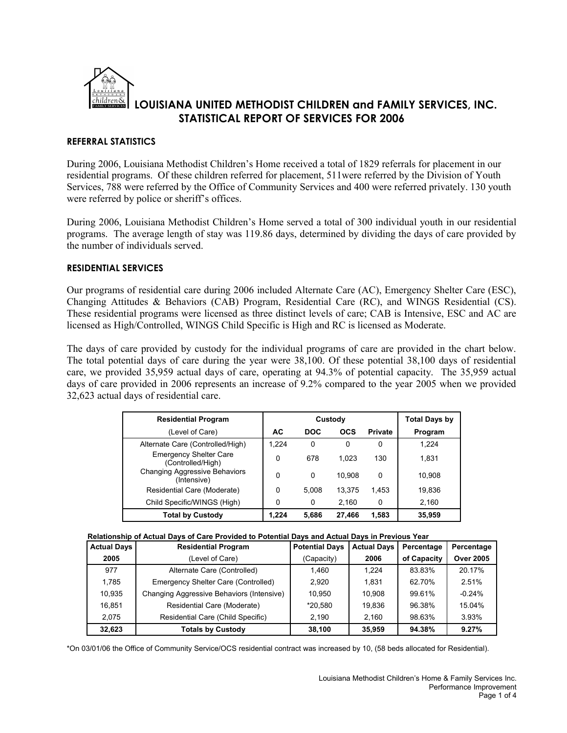

### **REFERRAL STATISTICS**

During 2006, Louisiana Methodist Children's Home received a total of 1829 referrals for placement in our residential programs. Of these children referred for placement, 511were referred by the Division of Youth Services, 788 were referred by the Office of Community Services and 400 were referred privately. 130 youth were referred by police or sheriff's offices.

During 2006, Louisiana Methodist Children's Home served a total of 300 individual youth in our residential programs. The average length of stay was 119.86 days, determined by dividing the days of care provided by the number of individuals served.

### **RESIDENTIAL SERVICES**

Our programs of residential care during 2006 included Alternate Care (AC), Emergency Shelter Care (ESC), Changing Attitudes & Behaviors (CAB) Program, Residential Care (RC), and WINGS Residential (CS). These residential programs were licensed as three distinct levels of care; CAB is Intensive, ESC and AC are licensed as High/Controlled, WINGS Child Specific is High and RC is licensed as Moderate.

The days of care provided by custody for the individual programs of care are provided in the chart below. The total potential days of care during the year were 38,100. Of these potential 38,100 days of residential care, we provided 35,959 actual days of care, operating at 94.3% of potential capacity. The 35,959 actual days of care provided in 2006 represents an increase of 9.2% compared to the year 2005 when we provided 32,623 actual days of residential care.

| <b>Residential Program</b>                          |       | Custody    | <b>Total Days by</b> |                |         |
|-----------------------------------------------------|-------|------------|----------------------|----------------|---------|
| (Level of Care)                                     | AC    | <b>DOC</b> | <b>OCS</b>           | <b>Private</b> | Program |
| Alternate Care (Controlled/High)                    | 1.224 | 0          | 0                    | 0              | 1.224   |
| <b>Emergency Shelter Care</b><br>(Controlled/High)  | 0     | 678        | 1.023                | 130            | 1.831   |
| <b>Changing Aggressive Behaviors</b><br>(Intensive) | 0     | 0          | 10.908               | 0              | 10.908  |
| Residential Care (Moderate)                         | 0     | 5.008      | 13.375               | 1.453          | 19,836  |
| Child Specific/WINGS (High)                         | 0     | 0          | 2.160                | 0              | 2,160   |
| <b>Total by Custody</b>                             | 1.224 | 5,686      | 27.466               | 1.583          | 35,959  |

| Relationship of Actual Days of Care Provided to Potential Days and Actual Days in Previous Year |  |
|-------------------------------------------------------------------------------------------------|--|
|-------------------------------------------------------------------------------------------------|--|

| <b>Actual Days</b> | <b>Residential Program</b>                | <b>Potential Davs</b> | <b>Actual Days</b> | Percentage  | Percentage       |
|--------------------|-------------------------------------------|-----------------------|--------------------|-------------|------------------|
| 2005               | (Level of Care)                           | (Capacity)            | 2006               | of Capacity | <b>Over 2005</b> |
| 977                | Alternate Care (Controlled)               | 1.460                 | 1.224              | 83.83%      | 20.17%           |
| 1.785              | Emergency Shelter Care (Controlled)       | 2.920                 | 1.831              | 62.70%      | 2.51%            |
| 10.935             | Changing Aggressive Behaviors (Intensive) | 10.950                | 10.908             | 99.61%      | $-0.24%$         |
| 16.851             | Residential Care (Moderate)               | *20.580               | 19.836             | 96.38%      | 15.04%           |
| 2.075              | Residential Care (Child Specific)         | 2.190                 | 2.160              | 98.63%      | 3.93%            |
| 32,623             | <b>Totals by Custody</b>                  | 38,100                | 35.959             | 94.38%      | 9.27%            |

\*On 03/01/06 the Office of Community Service/OCS residential contract was increased by 10, (58 beds allocated for Residential).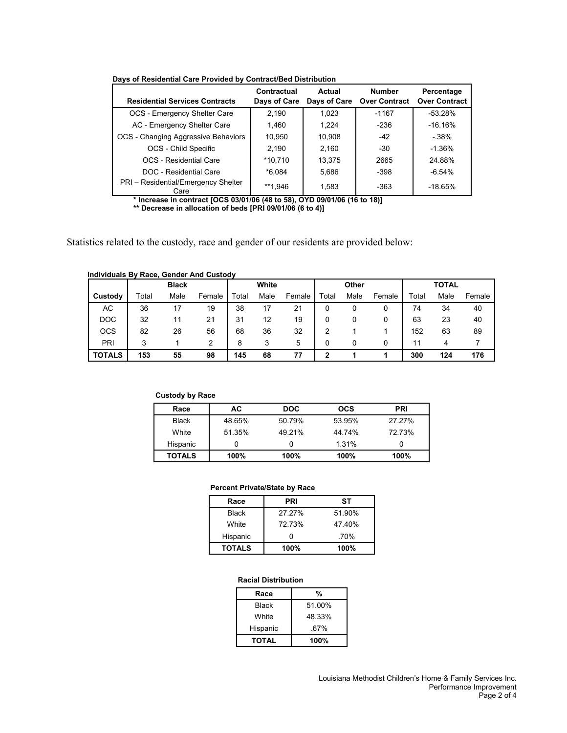| <b>Residential Services Contracts</b>       | Contractual<br>Days of Care | Actual<br>Days of Care | <b>Number</b><br><b>Over Contract</b> | Percentage<br><b>Over Contract</b> |
|---------------------------------------------|-----------------------------|------------------------|---------------------------------------|------------------------------------|
| OCS - Emergency Shelter Care                | 2.190                       | 1.023                  | $-1167$                               | $-53.28%$                          |
| AC - Emergency Shelter Care                 | 1.460                       | 1.224                  | $-236$                                | $-16.16\%$                         |
| OCS - Changing Aggressive Behaviors         | 10,950                      | 10,908                 | $-42$                                 | $-38%$                             |
| OCS - Child Specific                        | 2.190                       | 2.160                  | $-30$                                 | $-1.36\%$                          |
| OCS - Residential Care                      | *10.710                     | 13,375                 | 2665                                  | 24.88%                             |
| DOC - Residential Care                      | $*6.084$                    | 5,686                  | $-398$                                | $-6.54%$                           |
| PRI - Residential/Emergency Shelter<br>Care | **1.946                     | 1,583                  | $-363$                                | $-18.65%$                          |

**Days of Residential Care Provided by Contract/Bed Distribution**

**\* Increase in contract [OCS 03/01/06 (48 to 58), OYD 09/01/06 (16 to 18)] \*\* Decrease in allocation of beds [PRI 09/01/06 (6 to 4)]**

Statistics related to the custody, race and gender of our residents are provided below:

#### **Individuals By Race, Gender And Custody**

|               |       | <b>Black</b> |        | White |      | Other  |       |      | <b>TOTAL</b> |       |      |        |
|---------------|-------|--------------|--------|-------|------|--------|-------|------|--------------|-------|------|--------|
| Custody       | Total | Male         | Female | Total | Male | Female | Total | Male | Female       | Total | Male | Female |
| АC            | 36    | 17           | 19     | 38    |      | 21     |       |      |              | 74    | 34   | 40     |
| <b>DOC</b>    | 32    | 11           | 21     | 31    | 12   | 19     |       |      |              | 63    | 23   | 40     |
| <b>OCS</b>    | 82    | 26           | 56     | 68    | 36   | 32     | 2     |      |              | 152   | 63   | 89     |
| PRI           | 3     |              | 2      | 8     | 3    | 5      |       |      |              | 11    | 4    |        |
| <b>TOTALS</b> | 153   | 55           | 98     | 145   | 68   | 77     | 2     |      |              | 300   | 124  | 176    |

#### **Custody by Race**

| Race          | АC     | <b>DOC</b> | <b>OCS</b> | <b>PRI</b> |
|---------------|--------|------------|------------|------------|
| <b>Black</b>  | 48.65% | 50.79%     | 53.95%     | 27.27%     |
| White         | 51.35% | 49.21%     | 44.74%     | 72.73%     |
| Hispanic      |        |            | 1.31%      |            |
| <b>TOTALS</b> | 100%   | 100%       | 100%       | 100%       |

### **Percent Private/State by Race**

| Race          | PRI    | SТ     |
|---------------|--------|--------|
| <b>Black</b>  | 27.27% | 51.90% |
| White         | 72.73% | 47.40% |
| Hispanic      |        | .70%   |
| <b>TOTALS</b> | 100%   | 100%   |

### **Racial Distribution**

| Race         | %      |
|--------------|--------|
| Black        | 51.00% |
| White        | 48.33% |
| Hispanic     | .67%   |
| <b>TOTAL</b> | 100%   |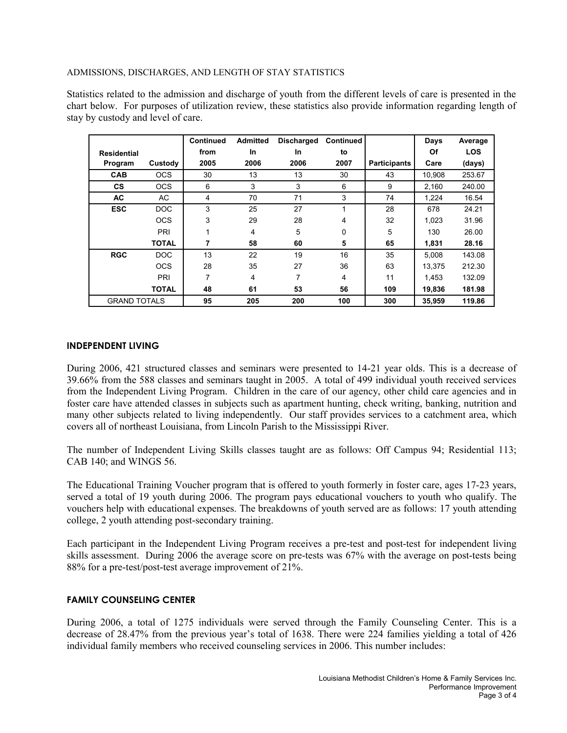### ADMISSIONS, DISCHARGES, AND LENGTH OF STAY STATISTICS

Statistics related to the admission and discharge of youth from the different levels of care is presented in the chart below. For purposes of utilization review, these statistics also provide information regarding length of stay by custody and level of care.

|                     |              | <b>Continued</b> | <b>Admitted</b> | <b>Discharged</b> | <b>Continued</b>        |                     | Days   | Average    |
|---------------------|--------------|------------------|-----------------|-------------------|-------------------------|---------------------|--------|------------|
| <b>Residential</b>  |              | from             | In              | In                | to                      |                     | Of     | <b>LOS</b> |
| Program             | Custody      | 2005             | 2006            | 2006              | 2007                    | <b>Participants</b> | Care   | (days)     |
| <b>CAB</b>          | <b>OCS</b>   | 30               | 13              | 13                | 30                      | 43                  | 10,908 | 253.67     |
| <b>CS</b>           | <b>OCS</b>   | 6                | 3               | 3                 | 6                       | 9                   | 2,160  | 240.00     |
| <b>AC</b>           | AC.          | 4                | 70              | 71                | 3                       | 74                  | 1,224  | 16.54      |
| <b>ESC</b>          | <b>DOC</b>   | 3                | 25              | 27                | $\overline{\mathbf{A}}$ | 28                  | 678    | 24.21      |
|                     | <b>OCS</b>   | 3                | 29              | 28                | 4                       | 32                  | 1,023  | 31.96      |
|                     | PRI          | 1                | 4               | 5                 | 0                       | 5                   | 130    | 26.00      |
|                     | <b>TOTAL</b> | 7                | 58              | 60                | 5                       | 65                  | 1,831  | 28.16      |
| <b>RGC</b>          | <b>DOC</b>   | 13               | 22              | 19                | 16                      | 35                  | 5.008  | 143.08     |
|                     | <b>OCS</b>   | 28               | 35              | 27                | 36                      | 63                  | 13.375 | 212.30     |
|                     | PRI          | 7                | 4               | 7                 | 4                       | 11                  | 1.453  | 132.09     |
|                     | <b>TOTAL</b> | 48               | 61              | 53                | 56                      | 109                 | 19,836 | 181.98     |
| <b>GRAND TOTALS</b> |              | 95               | 205             | 200               | 100                     | 300                 | 35.959 | 119.86     |

## **INDEPENDENT LIVING**

During 2006, 421 structured classes and seminars were presented to 14-21 year olds. This is a decrease of 39.66% from the 588 classes and seminars taught in 2005. A total of 499 individual youth received services from the Independent Living Program. Children in the care of our agency, other child care agencies and in foster care have attended classes in subjects such as apartment hunting, check writing, banking, nutrition and many other subjects related to living independently. Our staff provides services to a catchment area, which covers all of northeast Louisiana, from Lincoln Parish to the Mississippi River.

The number of Independent Living Skills classes taught are as follows: Off Campus 94; Residential 113; CAB 140; and WINGS 56.

The Educational Training Voucher program that is offered to youth formerly in foster care, ages 17-23 years, served a total of 19 youth during 2006. The program pays educational vouchers to youth who qualify. The vouchers help with educational expenses. The breakdowns of youth served are as follows: 17 youth attending college, 2 youth attending post-secondary training.

Each participant in the Independent Living Program receives a pre-test and post-test for independent living skills assessment. During 2006 the average score on pre-tests was 67% with the average on post-tests being 88% for a pre-test/post-test average improvement of 21%.

## **FAMILY COUNSELING CENTER**

During 2006, a total of 1275 individuals were served through the Family Counseling Center. This is a decrease of 28.47% from the previous year's total of 1638. There were 224 families yielding a total of 426 individual family members who received counseling services in 2006. This number includes: